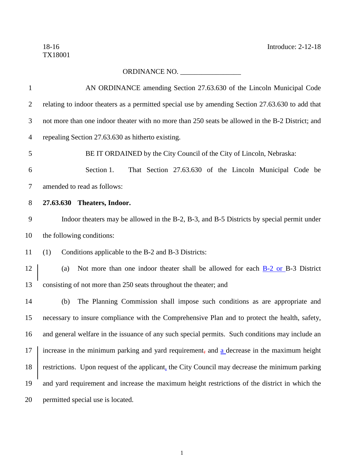18-16 Introduce: 2-12-18

## ORDINANCE NO. \_\_\_\_\_\_\_\_\_\_\_\_\_\_\_\_\_

| $\mathbf{1}$   | AN ORDINANCE amending Section 27.63.630 of the Lincoln Municipal Code                                         |
|----------------|---------------------------------------------------------------------------------------------------------------|
| $\overline{2}$ | relating to indoor theaters as a permitted special use by amending Section 27.63.630 to add that              |
| 3              | not more than one indoor theater with no more than 250 seats be allowed in the B-2 District; and              |
| $\overline{4}$ | repealing Section 27.63.630 as hitherto existing.                                                             |
| 5              | BE IT ORDAINED by the City Council of the City of Lincoln, Nebraska:                                          |
| 6              | Section 1.<br>That Section 27.63.630 of the Lincoln Municipal Code be                                         |
| 7              | amended to read as follows:                                                                                   |
| $8\phantom{1}$ | 27.63.630 Theaters, Indoor.                                                                                   |
| 9              | Indoor theaters may be allowed in the B-2, B-3, and B-5 Districts by special permit under                     |
| 10             | the following conditions:                                                                                     |
| 11             | Conditions applicable to the B-2 and B-3 Districts:<br>(1)                                                    |
| 12             | Not more than one indoor theater shall be allowed for each <b>B-2 or B-3</b> District<br>(a)                  |
| 13             | consisting of not more than 250 seats throughout the theater; and                                             |
| 14             | The Planning Commission shall impose such conditions as are appropriate and<br>(b)                            |
| 15             | necessary to insure compliance with the Comprehensive Plan and to protect the health, safety,                 |
| 16             | and general welfare in the issuance of any such special permits. Such conditions may include an               |
|                | 17   increase in the minimum parking and yard requirement, and $\underline{a}$ decrease in the maximum height |
| 18             | restrictions. Upon request of the applicant, the City Council may decrease the minimum parking                |
| 19             | and yard requirement and increase the maximum height restrictions of the district in which the                |
| 20             | permitted special use is located.                                                                             |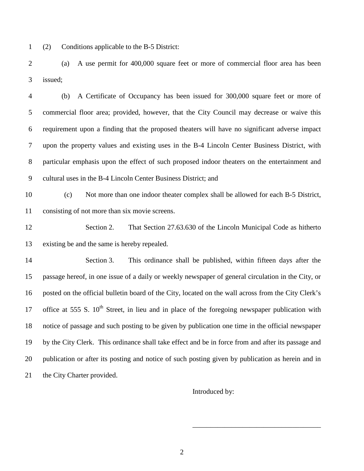(2) Conditions applicable to the B-5 District:

 (a) A use permit for 400,000 square feet or more of commercial floor area has been issued;

 (b) A Certificate of Occupancy has been issued for 300,000 square feet or more of commercial floor area; provided, however, that the City Council may decrease or waive this requirement upon a finding that the proposed theaters will have no significant adverse impact upon the property values and existing uses in the B-4 Lincoln Center Business District, with particular emphasis upon the effect of such proposed indoor theaters on the entertainment and cultural uses in the B-4 Lincoln Center Business District; and

 (c) Not more than one indoor theater complex shall be allowed for each B-5 District, consisting of not more than six movie screens.

 Section 2. That Section 27.63.630 of the Lincoln Municipal Code as hitherto existing be and the same is hereby repealed.

 Section 3. This ordinance shall be published, within fifteen days after the passage hereof, in one issue of a daily or weekly newspaper of general circulation in the City, or posted on the official bulletin board of the City, located on the wall across from the City Clerk's 17 office at 555 S.  $10^{th}$  Street, in lieu and in place of the foregoing newspaper publication with notice of passage and such posting to be given by publication one time in the official newspaper by the City Clerk. This ordinance shall take effect and be in force from and after its passage and publication or after its posting and notice of such posting given by publication as herein and in 21 the City Charter provided.

Introduced by:

\_\_\_\_\_\_\_\_\_\_\_\_\_\_\_\_\_\_\_\_\_\_\_\_\_\_\_\_\_\_\_\_\_\_\_\_